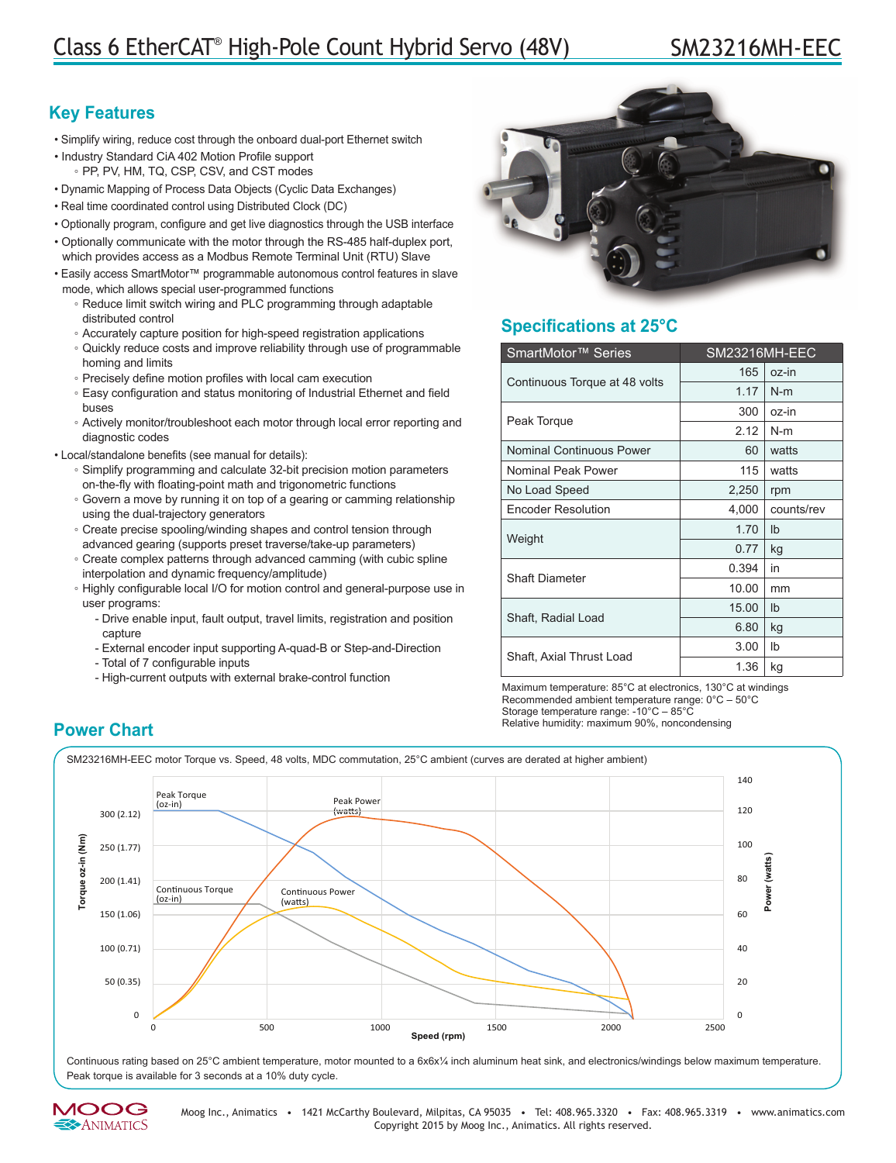# **Key Features**

- Simplify wiring, reduce cost through the onboard dual-port Ethernet switch
- Industry Standard CiA 402 Motion Profile support ◦ PP, PV, HM, TQ, CSP, CSV, and CST modes
- Dynamic Mapping of Process Data Objects (Cyclic Data Exchanges)
- Real time coordinated control using Distributed Clock (DC)
- Optionally program, configure and get live diagnostics through the USB interface
- Optionally communicate with the motor through the RS-485 half-duplex port, which provides access as a Modbus Remote Terminal Unit (RTU) Slave
- Easily access SmartMotor™ programmable autonomous control features in slave mode, which allows special user-programmed functions
	- Reduce limit switch wiring and PLC programming through adaptable distributed control
	- Accurately capture position for high-speed registration applications
	- Quickly reduce costs and improve reliability through use of programmable homing and limits
	- Precisely define motion profiles with local cam execution
	- Easy configuration and status monitoring of Industrial Ethernet and field buses
	- Actively monitor/troubleshoot each motor through local error reporting and diagnostic codes
- Local/standalone benefits (see manual for details):
	- Simplify programming and calculate 32-bit precision motion parameters on-the-fly with floating-point math and trigonometric functions
	- Govern a move by running it on top of a gearing or camming relationship using the dual-trajectory generators
	- Create precise spooling/winding shapes and control tension through advanced gearing (supports preset traverse/take-up parameters)
	- Create complex patterns through advanced camming (with cubic spline interpolation and dynamic frequency/amplitude)
	- Highly configurable local I/O for motion control and general-purpose use in user programs:
		- Drive enable input, fault output, travel limits, registration and position capture
		- External encoder input supporting A-quad-B or Step-and-Direction
		- Total of 7 configurable inputs
		- High-current outputs with external brake-control function



# **Specifications at 25°C**

| SmartMotor <sup>™</sup> Series | SM23216MH-EEC |               |
|--------------------------------|---------------|---------------|
| Continuous Torque at 48 volts  | 165           | oz-in         |
|                                | 1.17          | $N-m$         |
| Peak Torque                    | 300           | oz-in         |
|                                | 2.12          | $N-m$         |
| Nominal Continuous Power       | 60            | watts         |
| Nominal Peak Power             | 115           | watts         |
| No Load Speed                  | 2,250         | rpm           |
| <b>Encoder Resolution</b>      | 4,000         | counts/rev    |
| Weight                         | 1.70          | $\mathsf{lb}$ |
|                                | 0.77          | kg            |
| <b>Shaft Diameter</b>          | 0.394         | in            |
|                                | 10.00         | mm            |
| Shaft, Radial Load             | 15.00         | $\mathsf{lb}$ |
|                                | 6.80          | kg            |
| Shaft, Axial Thrust Load       | 3.00          | Ib            |
|                                | 1.36          | kg            |

Maximum temperature: 85°C at electronics, 130°C at windings Recommended ambient temperature range: 0°C – 50°C Storage temperature range: -10°C – 85°C **Power Chart Chart Power Chart Power Chart Power Chart Power Chart Power Chart Power Chart Power Chart Power Chart Power Chart Power Chart Power Chart Power Chart Power Chart Power Chart Pow** 

SM23216MH-EEC motor Torque vs. Speed, 48 volts, MDC commutation, 25°C ambient (curves are derated at higher ambient)



Continuous rating based on 25°C ambient temperature, motor mounted to a 6x6x¼ inch aluminum heat sink, and electronics/windings below maximum temperature. Peak torque is available for 3 seconds at a 10% duty cycle.